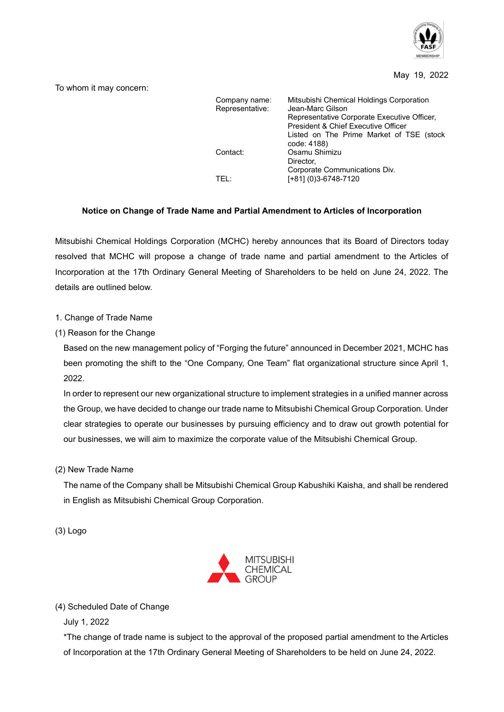

## May 19, 2022

To whom it may concern:

| Company name:<br>Representative: | Mitsubishi Chemical Holdings Corporation<br>Jean-Marc Gilson<br>Representative Corporate Executive Officer,<br>President & Chief Executive Officer |
|----------------------------------|----------------------------------------------------------------------------------------------------------------------------------------------------|
| Contact:                         | Listed on The Prime Market of TSE (stock<br>code: 4188)<br>Osamu Shimizu<br>Director,                                                              |
| TFI ·                            | Corporate Communications Div.<br>[+81] (0)3-6748-7120                                                                                              |

## **Notice on Change of Trade Name and Partial Amendment to Articles of Incorporation**

Mitsubishi Chemical Holdings Corporation (MCHC) hereby announces that its Board of Directors today resolved that MCHC will propose a change of trade name and partial amendment to the Articles of Incorporation at the 17th Ordinary General Meeting of Shareholders to be held on June 24, 2022. The details are outlined below.

## 1. Change of Trade Name

(1) Reason for the Change

Based on the new management policy of "Forging the future" announced in December 2021, MCHC has been promoting the shift to the "One Company, One Team" flat organizational structure since April 1, 2022.

In order to represent our new organizational structure to implement strategies in a unified manner across the Group, we have decided to change our trade name to Mitsubishi Chemical Group Corporation. Under clear strategies to operate our businesses by pursuing efficiency and to draw out growth potential for our businesses, we will aim to maximize the corporate value of the Mitsubishi Chemical Group.

(2) New Trade Name

The name of the Company shall be Mitsubishi Chemical Group Kabushiki Kaisha, and shall be rendered in English as Mitsubishi Chemical Group Corporation.

(3) Logo



## (4) Scheduled Date of Change

July 1, 2022

\*The change of trade name is subject to the approval of the proposed partial amendment to the Articles of Incorporation at the 17th Ordinary General Meeting of Shareholders to be held on June 24, 2022.